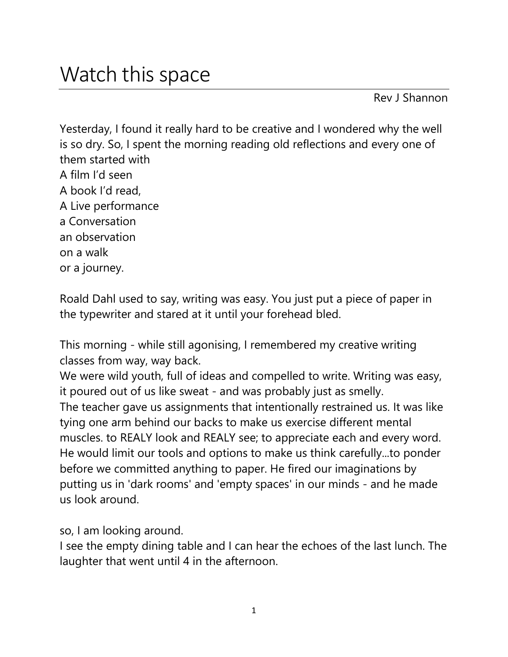Rev J Shannon

Yesterday, I found it really hard to be creative and I wondered why the well is so dry. So, I spent the morning reading old reflections and every one of them started with A film I'd seen A book I'd read, A Live performance a Conversation an observation on a walk or a journey.

Roald Dahl used to say, writing was easy. You just put a piece of paper in the typewriter and stared at it until your forehead bled.

This morning - while still agonising, I remembered my creative writing classes from way, way back.

We were wild youth, full of ideas and compelled to write. Writing was easy, it poured out of us like sweat - and was probably just as smelly. The teacher gave us assignments that intentionally restrained us. It was like tying one arm behind our backs to make us exercise different mental muscles. to REALY look and REALY see; to appreciate each and every word. He would limit our tools and options to make us think carefully...to ponder before we committed anything to paper. He fired our imaginations by putting us in 'dark rooms' and 'empty spaces' in our minds - and he made us look around.

so, I am looking around.

I see the empty dining table and I can hear the echoes of the last lunch. The laughter that went until 4 in the afternoon.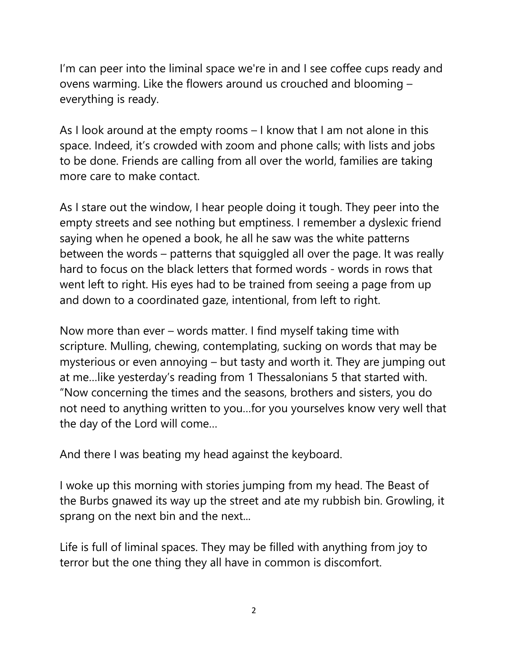I'm can peer into the liminal space we're in and I see coffee cups ready and ovens warming. Like the flowers around us crouched and blooming – everything is ready.

As I look around at the empty rooms – I know that I am not alone in this space. Indeed, it's crowded with zoom and phone calls; with lists and jobs to be done. Friends are calling from all over the world, families are taking more care to make contact.

As I stare out the window, I hear people doing it tough. They peer into the empty streets and see nothing but emptiness. I remember a dyslexic friend saying when he opened a book, he all he saw was the white patterns between the words – patterns that squiggled all over the page. It was really hard to focus on the black letters that formed words - words in rows that went left to right. His eyes had to be trained from seeing a page from up and down to a coordinated gaze, intentional, from left to right.

Now more than ever – words matter. I find myself taking time with scripture. Mulling, chewing, contemplating, sucking on words that may be mysterious or even annoying – but tasty and worth it. They are jumping out at me…like yesterday's reading from 1 Thessalonians 5 that started with. "Now concerning the times and the seasons, brothers and sisters, you do not need to anything written to you…for you yourselves know very well that the day of the Lord will come…

And there I was beating my head against the keyboard.

I woke up this morning with stories jumping from my head. The Beast of the Burbs gnawed its way up the street and ate my rubbish bin. Growling, it sprang on the next bin and the next...

Life is full of liminal spaces. They may be filled with anything from joy to terror but the one thing they all have in common is discomfort.